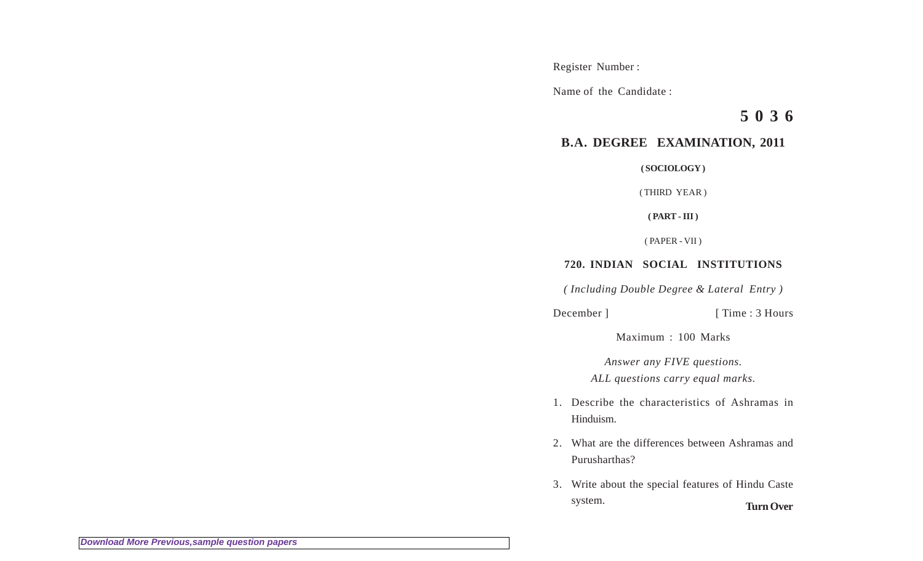Register Number :

Name of the Candidate :

**5 0 3 6**

## **B.A. DEGREE EXAMINATION, 2011**

**( SOCIOLOGY )**

( THIRD YEAR )

**( PART - III )**

( PAPER - VII )

## **720. INDIAN SOCIAL INSTITUTIONS**

*( Including Double Degree & Lateral Entry )*

December ] [ Time : 3 Hours

Maximum : 100 Marks

*Answer any FIVE questions.*

*ALL questions carry equal marks.*

- 1. Describe the characteristics of Ashramas in Hinduism.
- 2. What are the differences between Ashramas and Purusharthas?
- 3. Write about the special features of Hindu Caste system. **Turn Over**